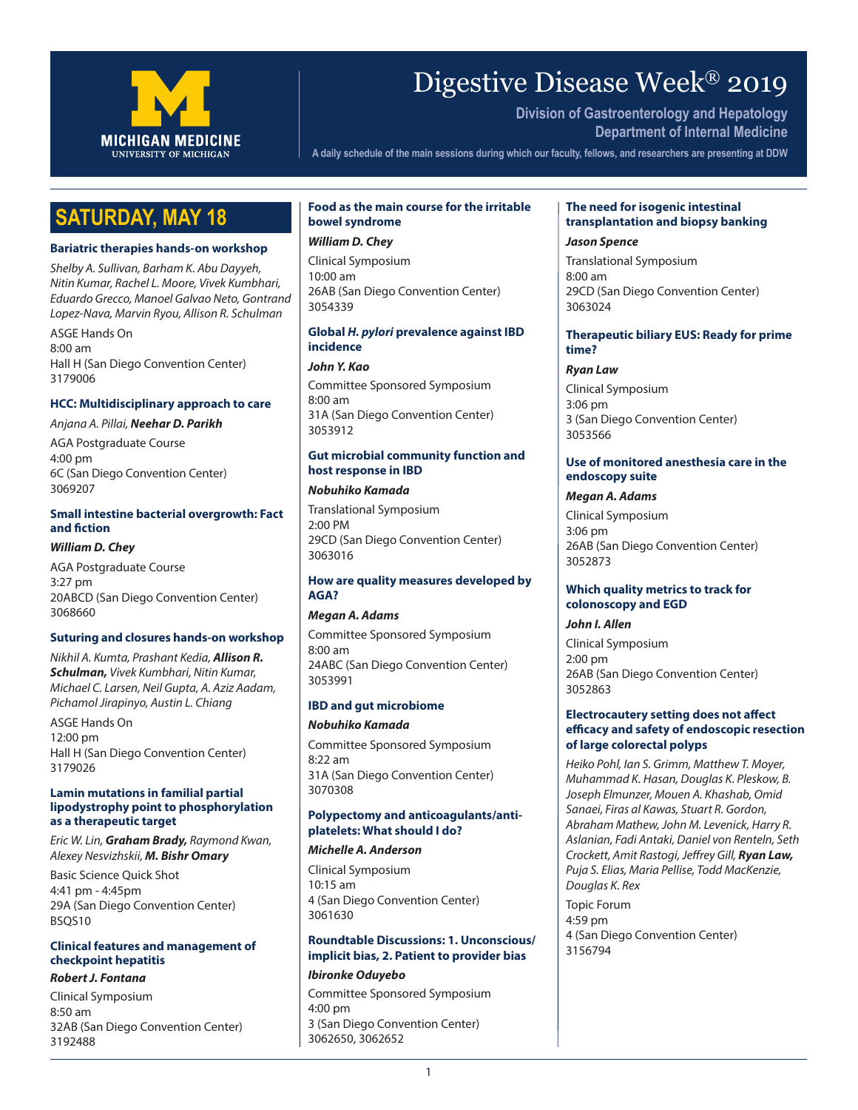

# Digestive Disease Week® 2019

**Division of Gastroenterology and Hepatology Department of Internal Medicine**

**A daily schedule of the main sessions during which our faculty, fellows, and researchers are presenting at DDW**

# **SATURDAY, MAY 18**

#### **Bariatric therapies hands-on workshop**

*Shelby A. Sullivan, Barham K. Abu Dayyeh, Nitin Kumar, Rachel L. Moore, Vivek Kumbhari, Eduardo Grecco, Manoel Galvao Neto, Gontrand Lopez-Nava, Marvin Ryou, Allison R. Schulman*

ASGE Hands On 8:00 am Hall H (San Diego Convention Center) 3179006

#### **HCC: Multidisciplinary approach to care**

#### *Anjana A. Pillai, Neehar D. Parikh*

AGA Postgraduate Course 4:00 pm 6C (San Diego Convention Center) 3069207

#### **Small intestine bacterial overgrowth: Fact and fiction**

#### *William D. Chey*

AGA Postgraduate Course 3:27 pm 20ABCD (San Diego Convention Center) 3068660

#### **Suturing and closures hands-on workshop**

*Nikhil A. Kumta, Prashant Kedia, Allison R. Schulman, Vivek Kumbhari, Nitin Kumar, Michael C. Larsen, Neil Gupta, A. Aziz Aadam, Pichamol Jirapinyo, Austin L. Chiang*

ASGE Hands On 12:00 pm Hall H (San Diego Convention Center) 3179026

#### **Lamin mutations in familial partial lipodystrophy point to phosphorylation as a therapeutic target**

*Eric W. Lin, Graham Brady, Raymond Kwan, Alexey Nesvizhskii, M. Bishr Omary*

Basic Science Quick Shot 4:41 pm - 4:45pm 29A (San Diego Convention Center) BSQS10

# **Clinical features and management of checkpoint hepatitis**

#### *Robert J. Fontana*

Clinical Symposium 8:50 am 32AB (San Diego Convention Center) 3192488

# **Food as the main course for the irritable bowel syndrome**

# *William D. Chey*

Clinical Symposium 10:00 am 26AB (San Diego Convention Center) 3054339

#### **Global** *H. pylori* **prevalence against IBD incidence**

*John Y. Kao*

Committee Sponsored Symposium 8:00 am 31A (San Diego Convention Center) 3053912

### **Gut microbial community function and host response in IBD**

#### *Nobuhiko Kamada*

Translational Symposium 2:00 PM 29CD (San Diego Convention Center) 3063016

#### **How are quality measures developed by AGA?**

#### *Megan A. Adams*

Committee Sponsored Symposium 8:00 am 24ABC (San Diego Convention Center) 3053991

#### **IBD and gut microbiome**

#### *Nobuhiko Kamada*

Committee Sponsored Symposium 8:22 am 31A (San Diego Convention Center) 3070308

#### **Polypectomy and anticoagulants/antiplatelets: What should I do?**

#### *Michelle A. Anderson*

Clinical Symposium 10:15 am 4 (San Diego Convention Center) 3061630

#### **Roundtable Discussions: 1. Unconscious/ implicit bias, 2. Patient to provider bias**

#### *Ibironke Oduyebo*

Committee Sponsored Symposium 4:00 pm 3 (San Diego Convention Center) 3062650, 3062652

# **The need for isogenic intestinal transplantation and biopsy banking**

*Jason Spence*

Translational Symposium 8:00 am 29CD (San Diego Convention Center) 3063024

### **Therapeutic biliary EUS: Ready for prime time?**

*Ryan Law* Clinical Symposium 3:06 pm 3 (San Diego Convention Center) 3053566

### **Use of monitored anesthesia care in the endoscopy suite**

#### *Megan A. Adams*

Clinical Symposium 3:06 pm 26AB (San Diego Convention Center) 3052873

#### **Which quality metrics to track for colonoscopy and EGD**

#### *John I. Allen*

Clinical Symposium 2:00 pm 26AB (San Diego Convention Center) 3052863

### **Electrocautery setting does not affect efficacy and safety of endoscopic resection of large colorectal polyps**

*Heiko Pohl, Ian S. Grimm, Matthew T. Moyer, Muhammad K. Hasan, Douglas K. Pleskow, B. Joseph Elmunzer, Mouen A. Khashab, Omid Sanaei, Firas al Kawas, Stuart R. Gordon, Abraham Mathew, John M. Levenick, Harry R. Aslanian, Fadi Antaki, Daniel von Renteln, Seth Crockett, Amit Rastogi, Jeffrey Gill, Ryan Law, Puja S. Elias, Maria Pellise, Todd MacKenzie, Douglas K. Rex*

Topic Forum 4:59 pm 4 (San Diego Convention Center) 3156794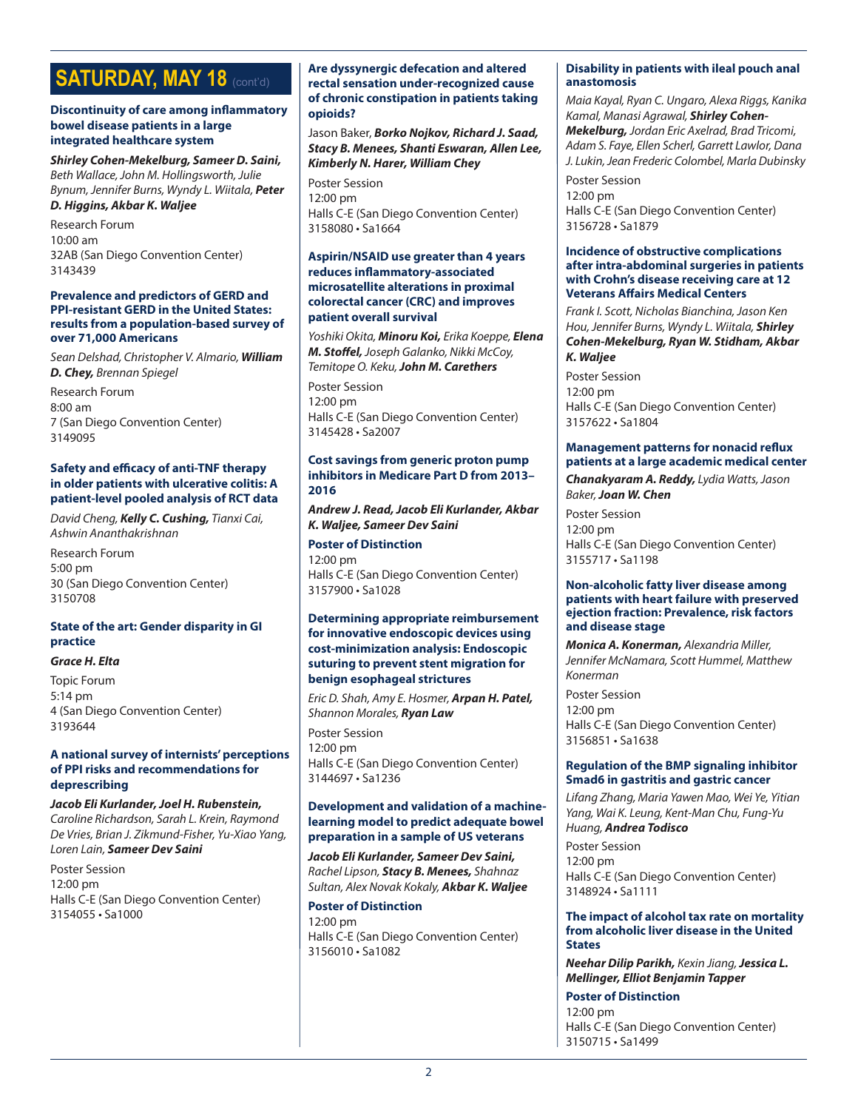# **SATURDAY, MAY 18 (CONT'd)**

#### **Discontinuity of care among inflammatory bowel disease patients in a large integrated healthcare system**

*Shirley Cohen-Mekelburg, Sameer D. Saini, Beth Wallace, John M. Hollingsworth, Julie Bynum, Jennifer Burns, Wyndy L. Wiitala, Peter* 

# *D. Higgins, Akbar K. Waljee*

Research Forum 10:00 am 32AB (San Diego Convention Center) 3143439

#### **Prevalence and predictors of GERD and PPI-resistant GERD in the United States: results from a population-based survey of over 71,000 Americans**

*Sean Delshad, Christopher V. Almario, William D. Chey, Brennan Spiegel*

Research Forum 8:00 am 7 (San Diego Convention Center) 3149095

#### **Safety and efficacy of anti-TNF therapy in older patients with ulcerative colitis: A patient-level pooled analysis of RCT data**

*David Cheng, Kelly C. Cushing, Tianxi Cai, Ashwin Ananthakrishnan*

Research Forum 5:00 pm 30 (San Diego Convention Center) 3150708

# **State of the art: Gender disparity in GI practice**

#### *Grace H. Elta*

Topic Forum 5:14 pm 4 (San Diego Convention Center) 3193644

#### **A national survey of internists' perceptions of PPI risks and recommendations for deprescribing**

*Jacob Eli Kurlander, Joel H. Rubenstein, Caroline Richardson, Sarah L. Krein, Raymond De Vries, Brian J. Zikmund-Fisher, Yu-Xiao Yang, Loren Lain, Sameer Dev Saini*

Poster Session 12:00 pm Halls C-E (San Diego Convention Center) 3154055 • Sa1000

#### **Are dyssynergic defecation and altered rectal sensation under-recognized cause of chronic constipation in patients taking opioids?**

Jason Baker, *Borko Nojkov, Richard J. Saad, Stacy B. Menees, Shanti Eswaran, Allen Lee, Kimberly N. Harer, William Chey*

Poster Session 12:00 pm Halls C-E (San Diego Convention Center) 3158080 • Sa1664

### **Aspirin/NSAID use greater than 4 years reduces inflammatory-associated microsatellite alterations in proximal colorectal cancer (CRC) and improves patient overall survival**

*Yoshiki Okita, Minoru Koi, Erika Koeppe, Elena M. Stoffel, Joseph Galanko, Nikki McCoy, Temitope O. Keku, John M. Carethers*

Poster Session 12:00 pm Halls C-E (San Diego Convention Center) 3145428 • Sa2007

#### **Cost savings from generic proton pump inhibitors in Medicare Part D from 2013– 2016**

*Andrew J. Read, Jacob Eli Kurlander, Akbar K. Waljee, Sameer Dev Saini*

**Poster of Distinction** 12:00 pm Halls C-E (San Diego Convention Center) 3157900 • Sa1028

#### **Determining appropriate reimbursement for innovative endoscopic devices using cost-minimization analysis: Endoscopic suturing to prevent stent migration for benign esophageal strictures**

*Eric D. Shah, Amy E. Hosmer, Arpan H. Patel, Shannon Morales, Ryan Law*

Poster Session 12:00 pm Halls C-E (San Diego Convention Center) 3144697 • Sa1236

### **Development and validation of a machinelearning model to predict adequate bowel preparation in a sample of US veterans**

*Jacob Eli Kurlander, Sameer Dev Saini, Rachel Lipson, Stacy B. Menees, Shahnaz Sultan, Alex Novak Kokaly, Akbar K. Waljee*

### **Poster of Distinction**  12:00 pm Halls C-E (San Diego Convention Center) 3156010 • Sa1082

#### **Disability in patients with ileal pouch anal anastomosis**

*Maia Kayal, Ryan C. Ungaro, Alexa Riggs, Kanika Kamal, Manasi Agrawal, Shirley Cohen-Mekelburg, Jordan Eric Axelrad, Brad Tricomi, Adam S. Faye, Ellen Scherl, Garrett Lawlor, Dana J. Lukin, Jean Frederic Colombel, Marla Dubinsky*

Poster Session 12:00 pm Halls C-E (San Diego Convention Center) 3156728 • Sa1879

#### **Incidence of obstructive complications after intra-abdominal surgeries in patients with Crohn's disease receiving care at 12 Veterans Affairs Medical Centers**

*Frank I. Scott, Nicholas Bianchina, Jason Ken Hou, Jennifer Burns, Wyndy L. Wiitala, Shirley Cohen-Mekelburg, Ryan W. Stidham, Akbar K. Waljee*

Poster Session 12:00 pm Halls C-E (San Diego Convention Center) 3157622 • Sa1804

# **Management patterns for nonacid reflux patients at a large academic medical center**

*Chanakyaram A. Reddy, Lydia Watts, Jason Baker, Joan W. Chen*

Poster Session 12:00 pm Halls C-E (San Diego Convention Center) 3155717 • Sa1198

#### **Non-alcoholic fatty liver disease among patients with heart failure with preserved ejection fraction: Prevalence, risk factors and disease stage**

*Monica A. Konerman, Alexandria Miller, Jennifer McNamara, Scott Hummel, Matthew Konerman*

Poster Session 12:00 pm Halls C-E (San Diego Convention Center) 3156851 • Sa1638

# **Regulation of the BMP signaling inhibitor Smad6 in gastritis and gastric cancer**

*Lifang Zhang, Maria Yawen Mao, Wei Ye, Yitian Yang, Wai K. Leung, Kent-Man Chu, Fung-Yu Huang, Andrea Todisco*

Poster Session 12:00 pm Halls C-E (San Diego Convention Center) 3148924 • Sa1111

**The impact of alcohol tax rate on mortality from alcoholic liver disease in the United States**

*Neehar Dilip Parikh, Kexin Jiang, Jessica L. Mellinger, Elliot Benjamin Tapper*

**Poster of Distinction** 12:00 pm Halls C-E (San Diego Convention Center) 3150715 • Sa1499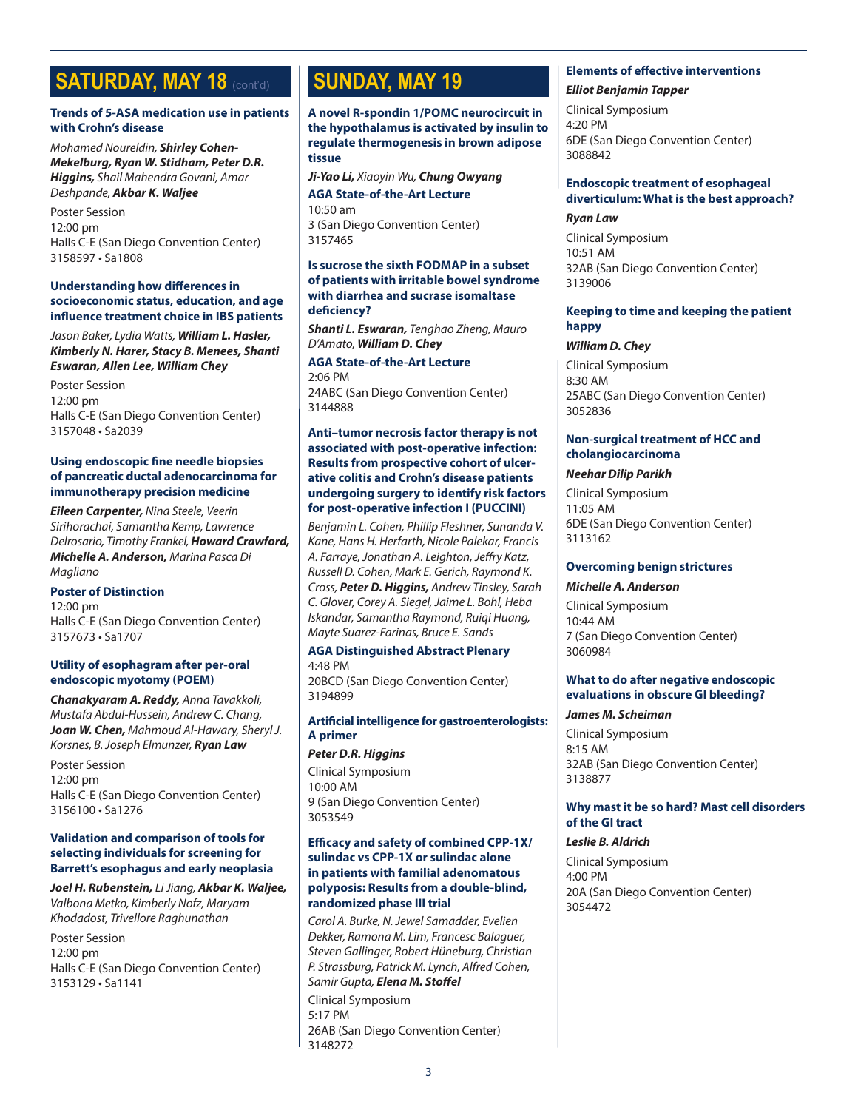# **SATURDAY, MAY 18 (cont'd)**

### **Trends of 5-ASA medication use in patients with Crohn's disease**

*Mohamed Noureldin, Shirley Cohen-Mekelburg, Ryan W. Stidham, Peter D.R. Higgins, Shail Mahendra Govani, Amar Deshpande, Akbar K. Waljee*

Poster Session 12:00 pm Halls C-E (San Diego Convention Center) 3158597 • Sa1808

#### **Understanding how differences in socioeconomic status, education, and age influence treatment choice in IBS patients**

#### *Jason Baker, Lydia Watts, William L. Hasler, Kimberly N. Harer, Stacy B. Menees, Shanti Eswaran, Allen Lee, William Chey*

Poster Session 12:00 pm Halls C-E (San Diego Convention Center) 3157048 • Sa2039

# **Using endoscopic fine needle biopsies of pancreatic ductal adenocarcinoma for immunotherapy precision medicine**

*Eileen Carpenter, Nina Steele, Veerin Sirihorachai, Samantha Kemp, Lawrence Delrosario, Timothy Frankel, Howard Crawford, Michelle A. Anderson, Marina Pasca Di Magliano*

#### **Poster of Distinction**

12:00 pm Halls C-E (San Diego Convention Center) 3157673 • Sa1707

#### **Utility of esophagram after per-oral endoscopic myotomy (POEM)**

*Chanakyaram A. Reddy, Anna Tavakkoli, Mustafa Abdul-Hussein, Andrew C. Chang, Joan W. Chen, Mahmoud Al-Hawary, Sheryl J. Korsnes, B. Joseph Elmunzer, Ryan Law*

Poster Session 12:00 pm Halls C-E (San Diego Convention Center) 3156100 • Sa1276

#### **Validation and comparison of tools for selecting individuals for screening for Barrett's esophagus and early neoplasia**

*Joel H. Rubenstein, Li Jiang, Akbar K. Waljee, Valbona Metko, Kimberly Nofz, Maryam Khodadost, Trivellore Raghunathan*

Poster Session 12:00 pm Halls C-E (San Diego Convention Center) 3153129 • Sa1141

# **SUNDAY, MAY 19**

**A novel R-spondin 1/POMC neurocircuit in the hypothalamus is activated by insulin to regulate thermogenesis in brown adipose tissue**

*Ji-Yao Li, Xiaoyin Wu, Chung Owyang*

**AGA State-of-the-Art Lecture** 10:50 am 3 (San Diego Convention Center) 3157465

#### **Is sucrose the sixth FODMAP in a subset of patients with irritable bowel syndrome with diarrhea and sucrase isomaltase deficiency?**

*Shanti L. Eswaran, Tenghao Zheng, Mauro D'Amato, William D. Chey*

**AGA State-of-the-Art Lecture** 2:06 PM 24ABC (San Diego Convention Center) 3144888

#### **Anti–tumor necrosis factor therapy is not associated with post-operative infection: Results from prospective cohort of ulcerative colitis and Crohn's disease patients undergoing surgery to identify risk factors for post-operative infection I (PUCCINI)**

*Benjamin L. Cohen, Phillip Fleshner, Sunanda V. Kane, Hans H. Herfarth, Nicole Palekar, Francis A. Farraye, Jonathan A. Leighton, Jeffry Katz, Russell D. Cohen, Mark E. Gerich, Raymond K. Cross, Peter D. Higgins, Andrew Tinsley, Sarah C. Glover, Corey A. Siegel, Jaime L. Bohl, Heba Iskandar, Samantha Raymond, Ruiqi Huang, Mayte Suarez-Farinas, Bruce E. Sands*

# **AGA Distinguished Abstract Plenary**

4:48 PM 20BCD (San Diego Convention Center) 3194899

# **Artificial intelligence for gastroenterologists: A primer**

#### *Peter D.R. Higgins*

Clinical Symposium 10:00 AM 9 (San Diego Convention Center) 3053549

#### **Efficacy and safety of combined CPP-1X/ sulindac vs CPP-1X or sulindac alone in patients with familial adenomatous polyposis: Results from a double-blind, randomized phase III trial**

*Carol A. Burke, N. Jewel Samadder, Evelien Dekker, Ramona M. Lim, Francesc Balaguer, Steven Gallinger, Robert Hüneburg, Christian P. Strassburg, Patrick M. Lynch, Alfred Cohen, Samir Gupta, Elena M. Stoffel*

Clinical Symposium 5:17 PM 26AB (San Diego Convention Center) 3148272

# **Elements of effective interventions** *Elliot Benjamin Tapper*

Clinical Symposium 4:20 PM 6DE (San Diego Convention Center) 3088842

# **Endoscopic treatment of esophageal diverticulum: What is the best approach?**

#### *Ryan Law*

Clinical Symposium 10:51 AM 32AB (San Diego Convention Center) 3139006

# **Keeping to time and keeping the patient happy**

# *William D. Chey*

Clinical Symposium 8:30 AM 25ABC (San Diego Convention Center) 3052836

# **Non-surgical treatment of HCC and cholangiocarcinoma**

# *Neehar Dilip Parikh*

Clinical Symposium 11:05 AM 6DE (San Diego Convention Center) 3113162

# **Overcoming benign strictures**

#### *Michelle A. Anderson*

Clinical Symposium 10:44 AM 7 (San Diego Convention Center) 3060984

# **What to do after negative endoscopic evaluations in obscure GI bleeding?**

# *James M. Scheiman*

Clinical Symposium 8:15 AM 32AB (San Diego Convention Center) 3138877

# **Why mast it be so hard? Mast cell disorders of the GI tract**

# *Leslie B. Aldrich*

Clinical Symposium 4:00 PM 20A (San Diego Convention Center) 3054472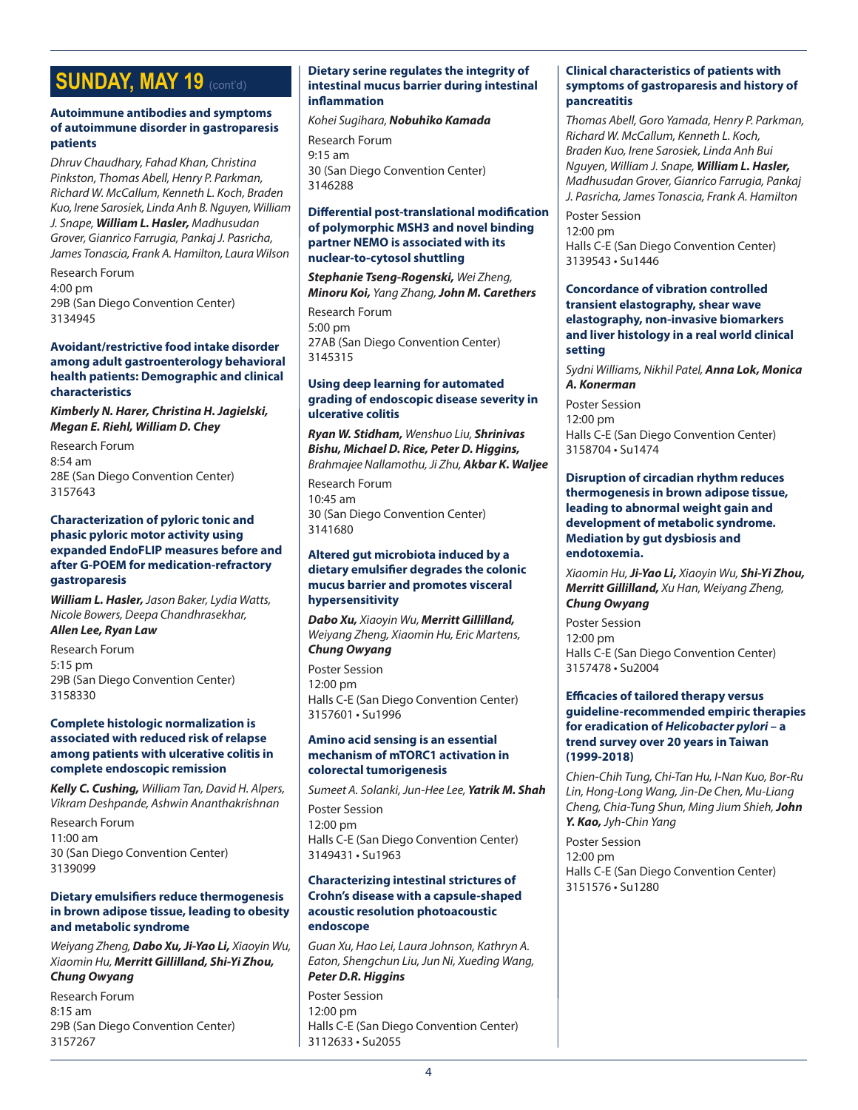# **SUNDAY, MAY 19 (cont'd)**

#### **Autoimmune antibodies and symptoms of autoimmune disorder in gastroparesis patients**

*Dhruv Chaudhary, Fahad Khan, Christina Pinkston, Thomas Abell, Henry P. Parkman, Richard W. McCallum, Kenneth L. Koch, Braden Kuo, Irene Sarosiek, Linda Anh B. Nguyen, William J. Snape, William L. Hasler, Madhusudan Grover, Gianrico Farrugia, Pankaj J. Pasricha, James Tonascia, Frank A. Hamilton, Laura Wilson*

Research Forum 4:00 pm 29B (San Diego Convention Center) 3134945

#### **Avoidant/restrictive food intake disorder among adult gastroenterology behavioral health patients: Demographic and clinical characteristics**

*Kimberly N. Harer, Christina H. Jagielski, Megan E. Riehl, William D. Chey*

Research Forum 8:54 am 28E (San Diego Convention Center) 3157643

#### **Characterization of pyloric tonic and phasic pyloric motor activity using expanded EndoFLIP measures before and after G-POEM for medication-refractory gastroparesis**

*William L. Hasler, Jason Baker, Lydia Watts, Nicole Bowers, Deepa Chandhrasekhar,*

*Allen Lee, Ryan Law*

Research Forum 5:15 pm 29B (San Diego Convention Center) 3158330

#### **Complete histologic normalization is associated with reduced risk of relapse among patients with ulcerative colitis in complete endoscopic remission**

*Kelly C. Cushing, William Tan, David H. Alpers, Vikram Deshpande, Ashwin Ananthakrishnan*

Research Forum 11:00 am 30 (San Diego Convention Center) 3139099

#### **Dietary emulsifiers reduce thermogenesis in brown adipose tissue, leading to obesity and metabolic syndrome**

*Weiyang Zheng, Dabo Xu, Ji-Yao Li, Xiaoyin Wu, Xiaomin Hu, Merritt Gillilland, Shi-Yi Zhou, Chung Owyang*

Research Forum 8:15 am 29B (San Diego Convention Center) 3157267

#### **Dietary serine regulates the integrity of intestinal mucus barrier during intestinal inflammation**

*Kohei Sugihara, Nobuhiko Kamada*

Research Forum 9:15 am 30 (San Diego Convention Center) 3146288

### **Differential post-translational modification of polymorphic MSH3 and novel binding partner NEMO is associated with its nuclear-to-cytosol shuttling**

*Stephanie Tseng-Rogenski, Wei Zheng, Minoru Koi, Yang Zhang, John M. Carethers*

Research Forum 5:00 pm 27AB (San Diego Convention Center) 3145315

#### **Using deep learning for automated grading of endoscopic disease severity in ulcerative colitis**

*Ryan W. Stidham, Wenshuo Liu, Shrinivas Bishu, Michael D. Rice, Peter D. Higgins, Brahmajee Nallamothu, Ji Zhu, Akbar K. Waljee*

Research Forum 10:45 am 30 (San Diego Convention Center) 3141680

#### **Altered gut microbiota induced by a dietary emulsifier degrades the colonic mucus barrier and promotes visceral hypersensitivity**

*Dabo Xu, Xiaoyin Wu, Merritt Gillilland, Weiyang Zheng, Xiaomin Hu, Eric Martens, Chung Owyang*

Poster Session 12:00 pm Halls C-E (San Diego Convention Center) 3157601 • Su1996

#### **Amino acid sensing is an essential mechanism of mTORC1 activation in colorectal tumorigenesis**

*Sumeet A. Solanki, Jun-Hee Lee, Yatrik M. Shah* Poster Session 12:00 pm Halls C-E (San Diego Convention Center) 3149431 • Su1963

#### **Characterizing intestinal strictures of Crohn's disease with a capsule-shaped acoustic resolution photoacoustic endoscope**

*Guan Xu, Hao Lei, Laura Johnson, Kathryn A. Eaton, Shengchun Liu, Jun Ni, Xueding Wang, Peter D.R. Higgins*

Poster Session 12:00 pm Halls C-E (San Diego Convention Center) 3112633 • Su2055

### **Clinical characteristics of patients with symptoms of gastroparesis and history of pancreatitis**

*Thomas Abell, Goro Yamada, Henry P. Parkman, Richard W. McCallum, Kenneth L. Koch, Braden Kuo, Irene Sarosiek, Linda Anh Bui Nguyen, William J. Snape, William L. Hasler, Madhusudan Grover, Gianrico Farrugia, Pankaj J. Pasricha, James Tonascia, Frank A. Hamilton*

Poster Session 12:00 pm Halls C-E (San Diego Convention Center) 3139543 • Su1446

### **Concordance of vibration controlled transient elastography, shear wave elastography, non-invasive biomarkers and liver histology in a real world clinical setting**

*Sydni Williams, Nikhil Patel, Anna Lok, Monica A. Konerman*

Poster Session 12:00 pm Halls C-E (San Diego Convention Center) 3158704 • Su1474

#### **Disruption of circadian rhythm reduces thermogenesis in brown adipose tissue, leading to abnormal weight gain and development of metabolic syndrome. Mediation by gut dysbiosis and endotoxemia.**

*Xiaomin Hu, Ji-Yao Li, Xiaoyin Wu, Shi-Yi Zhou, Merritt Gillilland, Xu Han, Weiyang Zheng, Chung Owyang*

Poster Session 12:00 pm Halls C-E (San Diego Convention Center) 3157478 • Su2004

# **Efficacies of tailored therapy versus guideline-recommended empiric therapies for eradication of** *Helicobacter pylori* **– a trend survey over 20 years in Taiwan (1999-2018)**

*Chien-Chih Tung, Chi-Tan Hu, I-Nan Kuo, Bor-Ru Lin, Hong-Long Wang, Jin-De Chen, Mu-Liang Cheng, Chia-Tung Shun, Ming Jium Shieh, John Y. Kao, Jyh-Chin Yang*

Poster Session 12:00 pm Halls C-E (San Diego Convention Center) 3151576 • Su1280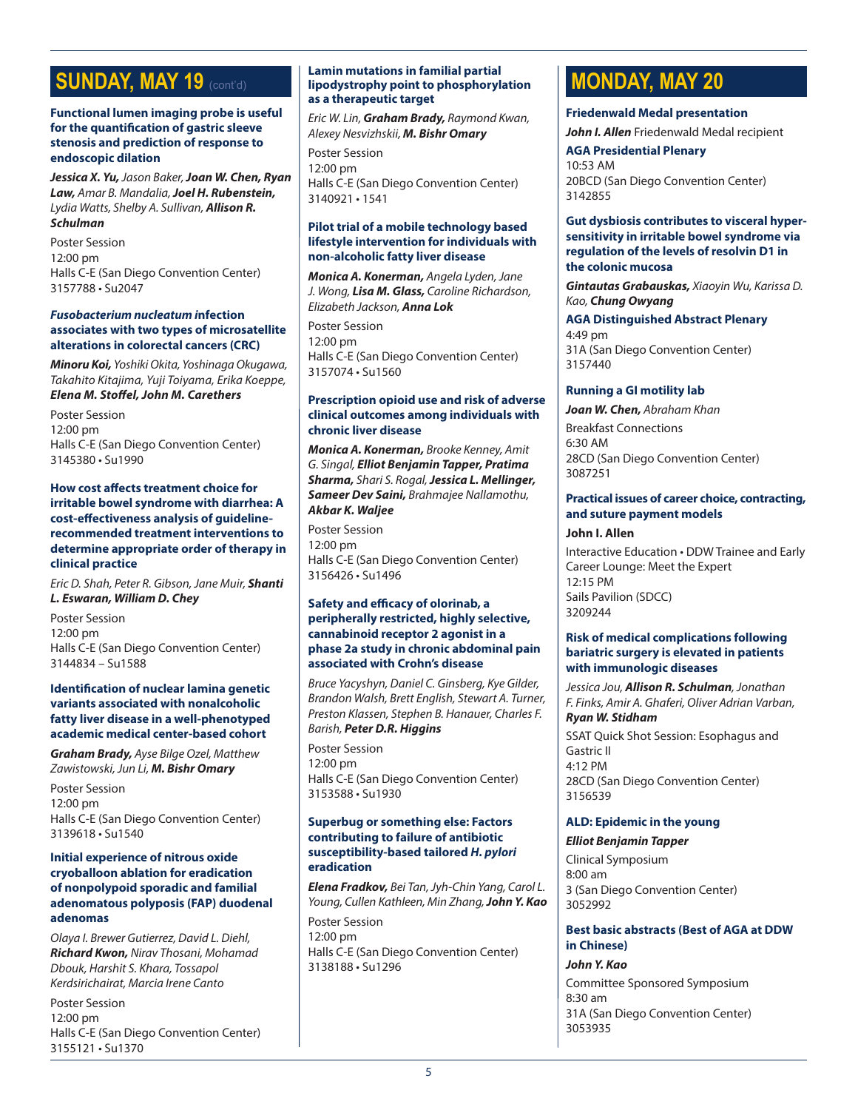# **SUNDAY, MAY 19 (cont'd)**

#### **Functional lumen imaging probe is useful for the quantification of gastric sleeve stenosis and prediction of response to endoscopic dilation**

*Jessica X. Yu, Jason Baker, Joan W. Chen, Ryan Law, Amar B. Mandalia, Joel H. Rubenstein, Lydia Watts, Shelby A. Sullivan, Allison R. Schulman*

Poster Session 12:00 pm Halls C-E (San Diego Convention Center) 3157788 • Su2047

#### *Fusobacterium nucleatum i***nfection associates with two types of microsatellite alterations in colorectal cancers (CRC)**

*Minoru Koi, Yoshiki Okita, Yoshinaga Okugawa, Takahito Kitajima, Yuji Toiyama, Erika Koeppe, Elena M. Stoffel, John M. Carethers*

Poster Session 12:00 pm Halls C-E (San Diego Convention Center) 3145380 • Su1990

#### **How cost affects treatment choice for irritable bowel syndrome with diarrhea: A cost-effectiveness analysis of guidelinerecommended treatment interventions to determine appropriate order of therapy in clinical practice**

*Eric D. Shah, Peter R. Gibson, Jane Muir, Shanti L. Eswaran, William D. Chey*

Poster Session 12:00 pm Halls C-E (San Diego Convention Center) 3144834 – Su1588

### **Identification of nuclear lamina genetic variants associated with nonalcoholic fatty liver disease in a well-phenotyped academic medical center-based cohort**

*Graham Brady, Ayse Bilge Ozel, Matthew Zawistowski, Jun Li, M. Bishr Omary*

Poster Session 12:00 pm Halls C-E (San Diego Convention Center) 3139618 • Su1540

### **Initial experience of nitrous oxide cryoballoon ablation for eradication of nonpolypoid sporadic and familial adenomatous polyposis (FAP) duodenal adenomas**

*Olaya I. Brewer Gutierrez, David L. Diehl, Richard Kwon, Nirav Thosani, Mohamad Dbouk, Harshit S. Khara, Tossapol Kerdsirichairat, Marcia Irene Canto*

Poster Session 12:00 pm Halls C-E (San Diego Convention Center) 3155121 • Su1370

#### **Lamin mutations in familial partial lipodystrophy point to phosphorylation as a therapeutic target**

*Eric W. Lin, Graham Brady, Raymond Kwan, Alexey Nesvizhskii, M. Bishr Omary*

Poster Session 12:00 pm Halls C-E (San Diego Convention Center) 3140921 • 1541

#### **Pilot trial of a mobile technology based lifestyle intervention for individuals with non-alcoholic fatty liver disease**

*Monica A. Konerman, Angela Lyden, Jane J. Wong, Lisa M. Glass, Caroline Richardson, Elizabeth Jackson, Anna Lok*

Poster Session 12:00 pm Halls C-E (San Diego Convention Center) 3157074 • Su1560

# **Prescription opioid use and risk of adverse clinical outcomes among individuals with chronic liver disease**

*Monica A. Konerman, Brooke Kenney, Amit G. Singal, Elliot Benjamin Tapper, Pratima Sharma, Shari S. Rogal, Jessica L. Mellinger, Sameer Dev Saini, Brahmajee Nallamothu, Akbar K. Waljee*

Poster Session 12:00 pm Halls C-E (San Diego Convention Center) 3156426 • Su1496

# **Safety and efficacy of olorinab, a peripherally restricted, highly selective, cannabinoid receptor 2 agonist in a phase 2a study in chronic abdominal pain associated with Crohn's disease**

*Bruce Yacyshyn, Daniel C. Ginsberg, Kye Gilder, Brandon Walsh, Brett English, Stewart A. Turner, Preston Klassen, Stephen B. Hanauer, Charles F. Barish, Peter D.R. Higgins*

Poster Session 12:00 pm Halls C-E (San Diego Convention Center) 3153588 • Su1930

#### **Superbug or something else: Factors contributing to failure of antibiotic susceptibility-based tailored** *H. pylori*  **eradication**

*Elena Fradkov, Bei Tan, Jyh-Chin Yang, Carol L. Young, Cullen Kathleen, Min Zhang, John Y. Kao*

Poster Session 12:00 pm Halls C-E (San Diego Convention Center) 3138188 • Su1296

# **MONDAY, MAY 20**

# **Friedenwald Medal presentation**

*John I. Allen* Friedenwald Medal recipient

**AGA Presidential Plenary**

10:53 AM 20BCD (San Diego Convention Center) 3142855

#### **Gut dysbiosis contributes to visceral hypersensitivity in irritable bowel syndrome via regulation of the levels of resolvin D1 in the colonic mucosa**

*Gintautas Grabauskas, Xiaoyin Wu, Karissa D. Kao, Chung Owyang*

**AGA Distinguished Abstract Plenary** 4:49 pm 31A (San Diego Convention Center) 3157440

# **Running a GI motility lab**

*Joan W. Chen, Abraham Khan* Breakfast Connections 6:30 AM 28CD (San Diego Convention Center) 3087251

#### **Practical issues of career choice, contracting, and suture payment models**

# **John I. Allen**

Interactive Education • DDW Trainee and Early Career Lounge: Meet the Expert 12:15 PM Sails Pavilion (SDCC) 3209244

#### **Risk of medical complications following bariatric surgery is elevated in patients with immunologic diseases**

*Jessica Jou, Allison R. Schulman, Jonathan F. Finks, Amir A. Ghaferi, Oliver Adrian Varban, Ryan W. Stidham*

SSAT Quick Shot Session: Esophagus and Gastric II 4:12 PM 28CD (San Diego Convention Center) 3156539

# **ALD: Epidemic in the young**

# *Elliot Benjamin Tapper*

Clinical Symposium 8:00 am 3 (San Diego Convention Center) 3052992

#### **Best basic abstracts (Best of AGA at DDW in Chinese)**

#### *John Y. Kao*

Committee Sponsored Symposium 8:30 am 31A (San Diego Convention Center) 3053935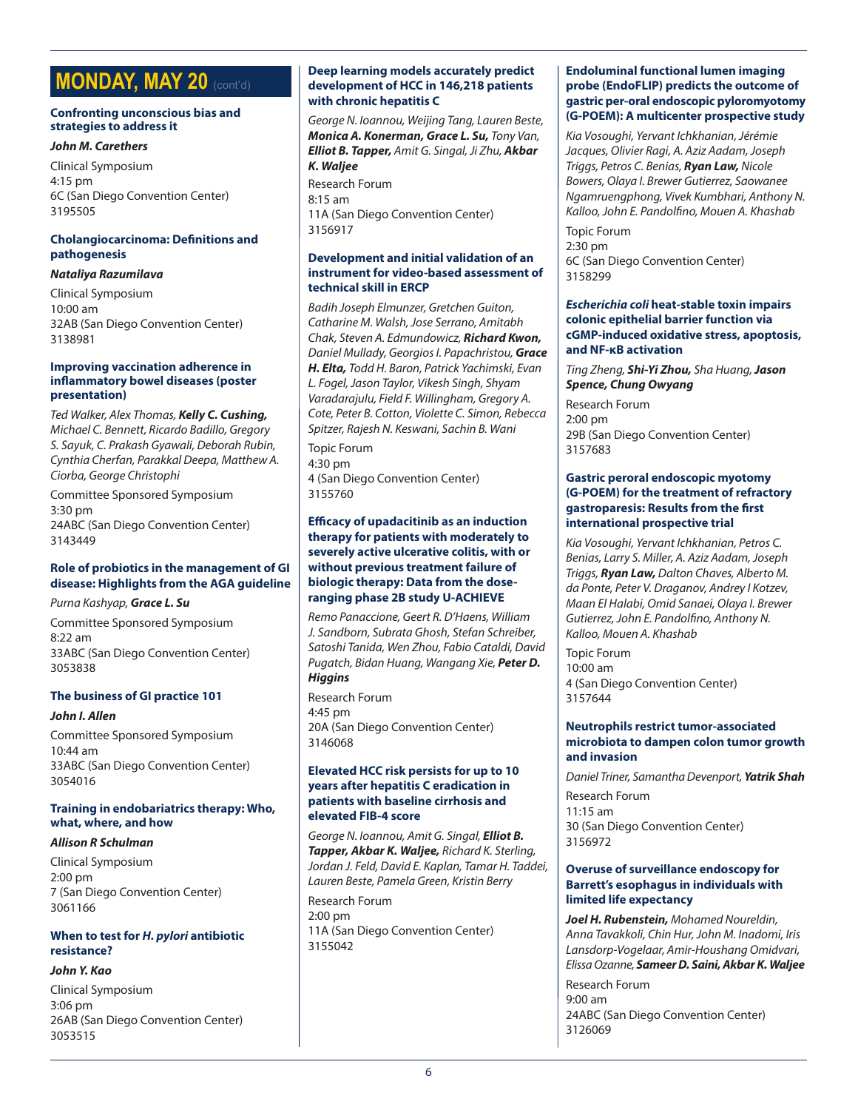# **MONDAY, MAY 20** (cont'd)

#### **Confronting unconscious bias and strategies to address it**

#### *John M. Carethers*

Clinical Symposium 4:15 pm 6C (San Diego Convention Center) 3195505

# **Cholangiocarcinoma: Definitions and pathogenesis**

### *Nataliya Razumilava*

Clinical Symposium 10:00 am 32AB (San Diego Convention Center) 3138981

#### **Improving vaccination adherence in inflammatory bowel diseases (poster presentation)**

*Ted Walker, Alex Thomas, Kelly C. Cushing, Michael C. Bennett, Ricardo Badillo, Gregory S. Sayuk, C. Prakash Gyawali, Deborah Rubin, Cynthia Cherfan, Parakkal Deepa, Matthew A. Ciorba, George Christophi*

Committee Sponsored Symposium 3:30 pm 24ABC (San Diego Convention Center) 3143449

# **Role of probiotics in the management of GI disease: Highlights from the AGA guideline**

#### *Purna Kashyap, Grace L. Su*

Committee Sponsored Symposium 8:22 am 33ABC (San Diego Convention Center) 3053838

# **The business of GI practice 101**

#### *John I. Allen*

Committee Sponsored Symposium 10:44 am 33ABC (San Diego Convention Center) 3054016

#### **Training in endobariatrics therapy: Who, what, where, and how**

#### *Allison R Schulman*

Clinical Symposium 2:00 pm 7 (San Diego Convention Center) 3061166

# **When to test for** *H. pylori* **antibiotic resistance?**

### *John Y. Kao*

Clinical Symposium 3:06 pm 26AB (San Diego Convention Center) 3053515

# **Deep learning models accurately predict development of HCC in 146,218 patients with chronic hepatitis C**

*George N. Ioannou, Weijing Tang, Lauren Beste, Monica A. Konerman, Grace L. Su, Tony Van, Elliot B. Tapper, Amit G. Singal, Ji Zhu, Akbar K. Waljee*

Research Forum 8:15 am 11A (San Diego Convention Center) 3156917

# **Development and initial validation of an instrument for video-based assessment of technical skill in ERCP**

*Badih Joseph Elmunzer, Gretchen Guiton, Catharine M. Walsh, Jose Serrano, Amitabh Chak, Steven A. Edmundowicz, Richard Kwon, Daniel Mullady, Georgios I. Papachristou, Grace H. Elta, Todd H. Baron, Patrick Yachimski, Evan L. Fogel, Jason Taylor, Vikesh Singh, Shyam Varadarajulu, Field F. Willingham, Gregory A. Cote, Peter B. Cotton, Violette C. Simon, Rebecca Spitzer, Rajesh N. Keswani, Sachin B. Wani*

Topic Forum 4:30 pm 4 (San Diego Convention Center) 3155760

#### **Efficacy of upadacitinib as an induction therapy for patients with moderately to severely active ulcerative colitis, with or without previous treatment failure of biologic therapy: Data from the doseranging phase 2B study U-ACHIEVE**

*Remo Panaccione, Geert R. D'Haens, William J. Sandborn, Subrata Ghosh, Stefan Schreiber, Satoshi Tanida, Wen Zhou, Fabio Cataldi, David Pugatch, Bidan Huang, Wangang Xie, Peter D. Higgins*

Research Forum 4:45 pm 20A (San Diego Convention Center) 3146068

#### **Elevated HCC risk persists for up to 10 years after hepatitis C eradication in patients with baseline cirrhosis and elevated FIB-4 score**

*George N. Ioannou, Amit G. Singal, Elliot B. Tapper, Akbar K. Waljee, Richard K. Sterling, Jordan J. Feld, David E. Kaplan, Tamar H. Taddei, Lauren Beste, Pamela Green, Kristin Berry*

Research Forum 2:00 pm 11A (San Diego Convention Center) 3155042

### **Endoluminal functional lumen imaging probe (EndoFLIP) predicts the outcome of gastric per-oral endoscopic pyloromyotomy (G-POEM): A multicenter prospective study**

*Kia Vosoughi, Yervant Ichkhanian, Jérémie Jacques, Olivier Ragi, A. Aziz Aadam, Joseph Triggs, Petros C. Benias, Ryan Law, Nicole Bowers, Olaya I. Brewer Gutierrez, Saowanee Ngamruengphong, Vivek Kumbhari, Anthony N. Kalloo, John E. Pandolfino, Mouen A. Khashab*

Topic Forum 2:30 pm 6C (San Diego Convention Center) 3158299

# *Escherichia coli* **heat-stable toxin impairs colonic epithelial barrier function via cGMP-induced oxidative stress, apoptosis, and NF-κB activation**

*Ting Zheng, Shi-Yi Zhou, Sha Huang, Jason Spence, Chung Owyang*

Research Forum 2:00 pm 29B (San Diego Convention Center) 3157683

# **Gastric peroral endoscopic myotomy (G-POEM) for the treatment of refractory gastroparesis: Results from the first international prospective trial**

*Kia Vosoughi, Yervant Ichkhanian, Petros C. Benias, Larry S. Miller, A. Aziz Aadam, Joseph Triggs, Ryan Law, Dalton Chaves, Alberto M. da Ponte, Peter V. Draganov, Andrey I Kotzev, Maan El Halabi, Omid Sanaei, Olaya I. Brewer Gutierrez, John E. Pandolfino, Anthony N. Kalloo, Mouen A. Khashab*

Topic Forum 10:00 am 4 (San Diego Convention Center) 3157644

# **Neutrophils restrict tumor-associated microbiota to dampen colon tumor growth and invasion**

*Daniel Triner, Samantha Devenport, Yatrik Shah*

Research Forum 11:15 am 30 (San Diego Convention Center) 3156972

# **Overuse of surveillance endoscopy for Barrett's esophagus in individuals with limited life expectancy**

*Joel H. Rubenstein, Mohamed Noureldin, Anna Tavakkoli, Chin Hur, John M. Inadomi, Iris Lansdorp-Vogelaar, Amir-Houshang Omidvari, Elissa Ozanne, Sameer D. Saini, Akbar K. Waljee*

Research Forum 9:00 am 24ABC (San Diego Convention Center) 3126069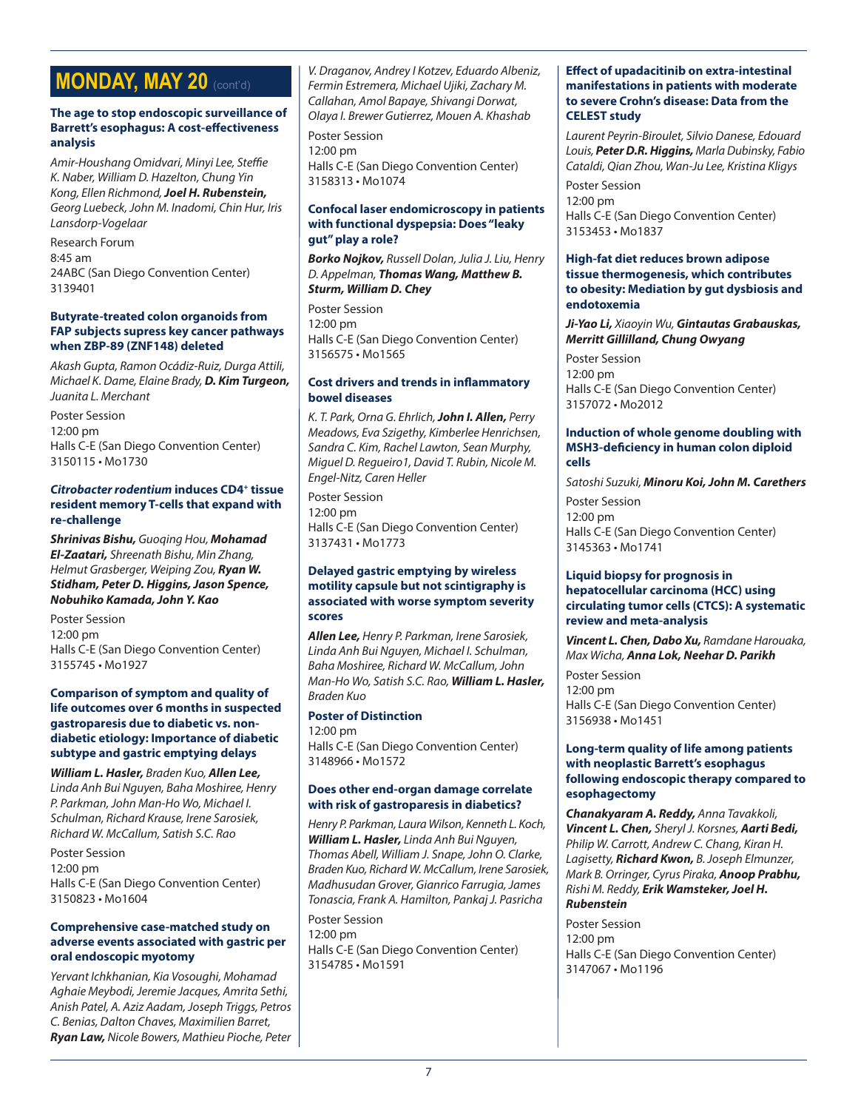# **MONDAY, MAY 20 (cont'd)**

#### **The age to stop endoscopic surveillance of Barrett's esophagus: A cost-effectiveness analysis**

*Amir-Houshang Omidvari, Minyi Lee, Steffie K. Naber, William D. Hazelton, Chung Yin Kong, Ellen Richmond, Joel H. Rubenstein, Georg Luebeck, John M. Inadomi, Chin Hur, Iris Lansdorp-Vogelaar*

Research Forum 8:45 am 24ABC (San Diego Convention Center) 3139401

#### **Butyrate-treated colon organoids from FAP subjects supress key cancer pathways when ZBP-89 (ZNF148) deleted**

*Akash Gupta, Ramon Ocádiz-Ruiz, Durga Attili, Michael K. Dame, Elaine Brady, D. Kim Turgeon, Juanita L. Merchant*

Poster Session 12:00 pm Halls C-E (San Diego Convention Center) 3150115 • Mo1730

#### *Citrobacter rodentium* **induces CD4+ tissue resident memory T-cells that expand with re-challenge**

*Shrinivas Bishu, Guoqing Hou, Mohamad El-Zaatari, Shreenath Bishu, Min Zhang, Helmut Grasberger, Weiping Zou, Ryan W. Stidham, Peter D. Higgins, Jason Spence, Nobuhiko Kamada, John Y. Kao*

Poster Session 12:00 pm Halls C-E (San Diego Convention Center) 3155745 • Mo1927

#### **Comparison of symptom and quality of life outcomes over 6 months in suspected gastroparesis due to diabetic vs. nondiabetic etiology: Importance of diabetic subtype and gastric emptying delays**

*William L. Hasler, Braden Kuo, Allen Lee, Linda Anh Bui Nguyen, Baha Moshiree, Henry P. Parkman, John Man-Ho Wo, Michael I. Schulman, Richard Krause, Irene Sarosiek, Richard W. McCallum, Satish S.C. Rao*

Poster Session 12:00 pm Halls C-E (San Diego Convention Center) 3150823 • Mo1604

#### **Comprehensive case-matched study on adverse events associated with gastric per oral endoscopic myotomy**

*Yervant Ichkhanian, Kia Vosoughi, Mohamad Aghaie Meybodi, Jeremie Jacques, Amrita Sethi, Anish Patel, A. Aziz Aadam, Joseph Triggs, Petros C. Benias, Dalton Chaves, Maximilien Barret, Ryan Law, Nicole Bowers, Mathieu Pioche, Peter*  *V. Draganov, Andrey I Kotzev, Eduardo Albeniz, Fermin Estremera, Michael Ujiki, Zachary M. Callahan, Amol Bapaye, Shivangi Dorwat, Olaya I. Brewer Gutierrez, Mouen A. Khashab*

Poster Session 12:00 pm Halls C-E (San Diego Convention Center) 3158313 • Mo1074

# **Confocal laser endomicroscopy in patients with functional dyspepsia: Does "leaky gut" play a role?**

*Borko Nojkov, Russell Dolan, Julia J. Liu, Henry D. Appelman, Thomas Wang, Matthew B. Sturm, William D. Chey*

Poster Session 12:00 pm Halls C-E (San Diego Convention Center) 3156575 • Mo1565

#### **Cost drivers and trends in inflammatory bowel diseases**

*K. T. Park, Orna G. Ehrlich, John I. Allen, Perry Meadows, Eva Szigethy, Kimberlee Henrichsen, Sandra C. Kim, Rachel Lawton, Sean Murphy, Miguel D. Regueiro1, David T. Rubin, Nicole M. Engel-Nitz, Caren Heller*

Poster Session 12:00 pm Halls C-E (San Diego Convention Center) 3137431 • Mo1773

### **Delayed gastric emptying by wireless motility capsule but not scintigraphy is associated with worse symptom severity scores**

*Allen Lee, Henry P. Parkman, Irene Sarosiek, Linda Anh Bui Nguyen, Michael I. Schulman, Baha Moshiree, Richard W. McCallum, John Man-Ho Wo, Satish S.C. Rao, William L. Hasler, Braden Kuo*

**Poster of Distinction** 12:00 pm Halls C-E (San Diego Convention Center) 3148966 • Mo1572

# **Does other end-organ damage correlate with risk of gastroparesis in diabetics?**

*Henry P. Parkman, Laura Wilson, Kenneth L. Koch, William L. Hasler, Linda Anh Bui Nguyen, Thomas Abell, William J. Snape, John O. Clarke, Braden Kuo, Richard W. McCallum, Irene Sarosiek, Madhusudan Grover, Gianrico Farrugia, James Tonascia, Frank A. Hamilton, Pankaj J. Pasricha*

Poster Session 12:00 pm Halls C-E (San Diego Convention Center) 3154785 • Mo1591

# **Effect of upadacitinib on extra-intestinal manifestations in patients with moderate to severe Crohn's disease: Data from the CELEST study**

*Laurent Peyrin-Biroulet, Silvio Danese, Edouard Louis, Peter D.R. Higgins, Marla Dubinsky, Fabio Cataldi, Qian Zhou, Wan-Ju Lee, Kristina Kligys*

Poster Session 12:00 pm Halls C-E (San Diego Convention Center) 3153453 • Mo1837

#### **High-fat diet reduces brown adipose tissue thermogenesis, which contributes to obesity: Mediation by gut dysbiosis and endotoxemia**

*Ji-Yao Li, Xiaoyin Wu, Gintautas Grabauskas, Merritt Gillilland, Chung Owyang*

Poster Session 12:00 pm Halls C-E (San Diego Convention Center) 3157072 • Mo2012

# **Induction of whole genome doubling with MSH3-deficiency in human colon diploid cells**

*Satoshi Suzuki, Minoru Koi, John M. Carethers* Poster Session 12:00 pm Halls C-E (San Diego Convention Center) 3145363 • Mo1741

### **Liquid biopsy for prognosis in hepatocellular carcinoma (HCC) using circulating tumor cells (CTCS): A systematic review and meta-analysis**

*Vincent L. Chen, Dabo Xu, Ramdane Harouaka, Max Wicha, Anna Lok, Neehar D. Parikh*

Poster Session 12:00 pm Halls C-E (San Diego Convention Center) 3156938 • Mo1451

#### **Long-term quality of life among patients with neoplastic Barrett's esophagus following endoscopic therapy compared to esophagectomy**

*Chanakyaram A. Reddy, Anna Tavakkoli, Vincent L. Chen, Sheryl J. Korsnes, Aarti Bedi, Philip W. Carrott, Andrew C. Chang, Kiran H. Lagisetty, Richard Kwon, B. Joseph Elmunzer, Mark B. Orringer, Cyrus Piraka, Anoop Prabhu, Rishi M. Reddy, Erik Wamsteker, Joel H. Rubenstein*

Poster Session 12:00 pm Halls C-E (San Diego Convention Center) 3147067 • Mo1196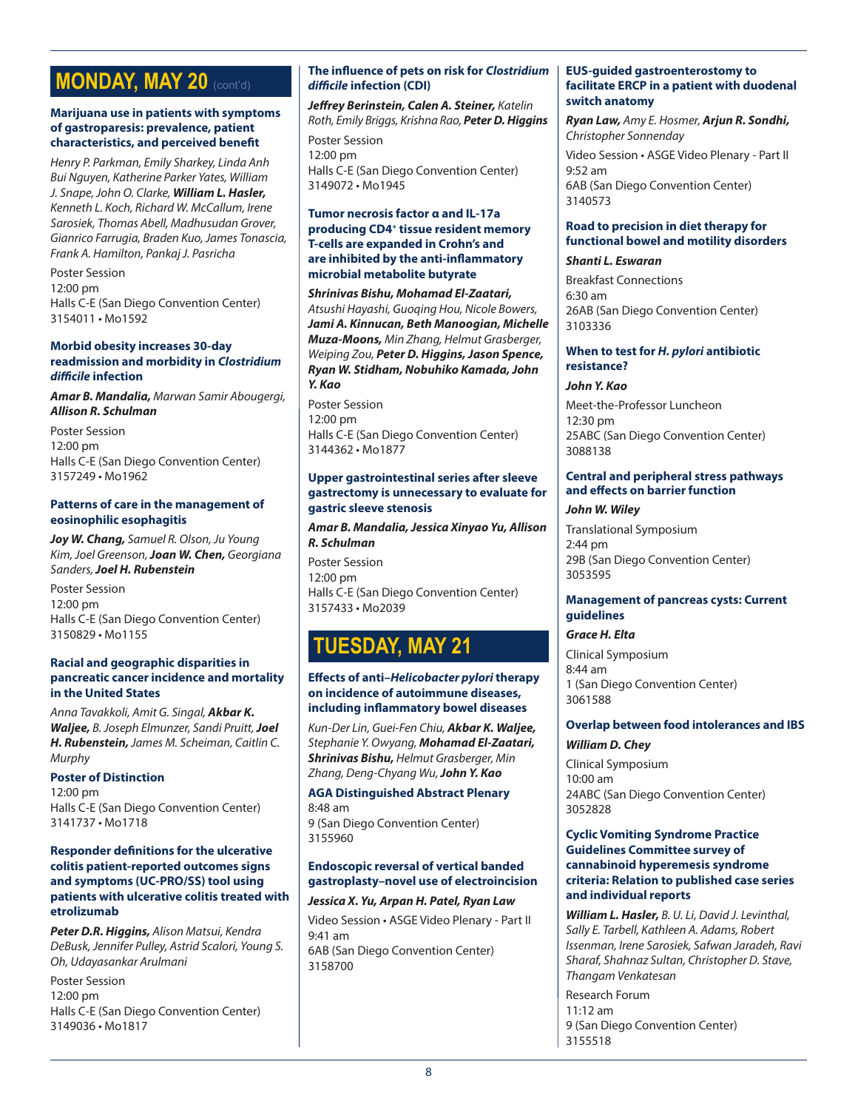# **MONDAY, MAY 20** (cont'd)

#### **Marijuana use in patients with symptoms of gastroparesis: prevalence, patient characteristics, and perceived benefit**

*Henry P. Parkman, Emily Sharkey, Linda Anh Bui Nguyen, Katherine Parker Yates, William J. Snape, John O. Clarke, William L. Hasler, Kenneth L. Koch, Richard W. McCallum, Irene Sarosiek, Thomas Abell, Madhusudan Grover, Gianrico Farrugia, Braden Kuo, James Tonascia, Frank A. Hamilton, Pankaj J. Pasricha*

Poster Session 12:00 pm Halls C-E (San Diego Convention Center) 3154011 • Mo1592

#### **Morbid obesity increases 30-day readmission and morbidity in** *Clostridium difficile* **infection**

*Amar B. Mandalia, Marwan Samir Abougergi, Allison R. Schulman*

Poster Session 12:00 pm Halls C-E (San Diego Convention Center) 3157249 • Mo1962

#### **Patterns of care in the management of eosinophilic esophagitis**

*Joy W. Chang, Samuel R. Olson, Ju Young Kim, Joel Greenson, Joan W. Chen, Georgiana Sanders, Joel H. Rubenstein*

Poster Session 12:00 pm Halls C-E (San Diego Convention Center) 3150829 • Mo1155

#### **Racial and geographic disparities in pancreatic cancer incidence and mortality in the United States**

*Anna Tavakkoli, Amit G. Singal, Akbar K. Waljee, B. Joseph Elmunzer, Sandi Pruitt, Joel H. Rubenstein, James M. Scheiman, Caitlin C. Murphy*

#### **Poster of Distinction**

12:00 pm Halls C-E (San Diego Convention Center) 3141737 • Mo1718

#### **Responder definitions for the ulcerative colitis patient-reported outcomes signs and symptoms (UC-PRO/SS) tool using patients with ulcerative colitis treated with etrolizumab**

*Peter D.R. Higgins, Alison Matsui, Kendra DeBusk, Jennifer Pulley, Astrid Scalori, Young S. Oh, Udayasankar Arulmani*

Poster Session 12:00 pm Halls C-E (San Diego Convention Center) 3149036 • Mo1817

# **The influence of pets on risk for** *Clostridium difficile* **infection (CDI)**

*Jeffrey Berinstein, Calen A. Steiner, Katelin Roth, Emily Briggs, Krishna Rao, Peter D. Higgins*

Poster Session 12:00 pm Halls C-E (San Diego Convention Center) 3149072 • Mo1945

### **Tumor necrosis factor α and IL-17a producing CD4+ tissue resident memory T-cells are expanded in Crohn's and are inhibited by the anti-inflammatory microbial metabolite butyrate**

*Shrinivas Bishu, Mohamad El-Zaatari, Atsushi Hayashi, Guoqing Hou, Nicole Bowers, Jami A. Kinnucan, Beth Manoogian, Michelle Muza-Moons, Min Zhang, Helmut Grasberger, Weiping Zou, Peter D. Higgins, Jason Spence, Ryan W. Stidham, Nobuhiko Kamada, John Y. Kao*

Poster Session 12:00 pm Halls C-E (San Diego Convention Center) 3144362 • Mo1877

#### **Upper gastrointestinal series after sleeve gastrectomy is unnecessary to evaluate for gastric sleeve stenosis**

*Amar B. Mandalia, Jessica Xinyao Yu, Allison R. Schulman*

Poster Session 12:00 pm Halls C-E (San Diego Convention Center) 3157433 • Mo2039

# **TUESDAY, MAY 21**

### **Effects of anti–***Helicobacter pylori* **therapy on incidence of autoimmune diseases, including inflammatory bowel diseases**

*Kun-Der Lin, Guei-Fen Chiu, Akbar K. Waljee, Stephanie Y. Owyang, Mohamad El-Zaatari, Shrinivas Bishu, Helmut Grasberger, Min Zhang, Deng-Chyang Wu, John Y. Kao*

**AGA Distinguished Abstract Plenary** 8:48 am 9 (San Diego Convention Center)

3155960

# **Endoscopic reversal of vertical banded gastroplasty–novel use of electroincision**

# *Jessica X. Yu, Arpan H. Patel, Ryan Law*

Video Session • ASGE Video Plenary - Part II 9:41 am 6AB (San Diego Convention Center) 3158700

### **EUS-guided gastroenterostomy to facilitate ERCP in a patient with duodenal switch anatomy**

*Ryan Law, Amy E. Hosmer, Arjun R. Sondhi, Christopher Sonnenday*

Video Session • ASGE Video Plenary - Part II 9:52 am 6AB (San Diego Convention Center) 3140573

# **Road to precision in diet therapy for functional bowel and motility disorders**

# *Shanti L. Eswaran*

Breakfast Connections 6:30 am 26AB (San Diego Convention Center) 3103336

#### **When to test for** *H. pylori* **antibiotic resistance?**

#### *John Y. Kao*

Meet-the-Professor Luncheon 12:30 pm 25ABC (San Diego Convention Center) 3088138

# **Central and peripheral stress pathways and effects on barrier function**

# *John W. Wiley*

Translational Symposium 2:44 pm 29B (San Diego Convention Center) 3053595

#### **Management of pancreas cysts: Current guidelines**

# *Grace H. Elta*

Clinical Symposium 8:44 am 1 (San Diego Convention Center) 3061588

# **Overlap between food intolerances and IBS**

# *William D. Chey*

Clinical Symposium 10:00 am 24ABC (San Diego Convention Center) 3052828

#### **Cyclic Vomiting Syndrome Practice Guidelines Committee survey of cannabinoid hyperemesis syndrome criteria: Relation to published case series and individual reports**

*William L. Hasler, B. U. Li, David J. Levinthal, Sally E. Tarbell, Kathleen A. Adams, Robert Issenman, Irene Sarosiek, Safwan Jaradeh, Ravi Sharaf, Shahnaz Sultan, Christopher D. Stave, Thangam Venkatesan*

Research Forum  $11:12 am$ 9 (San Diego Convention Center) 3155518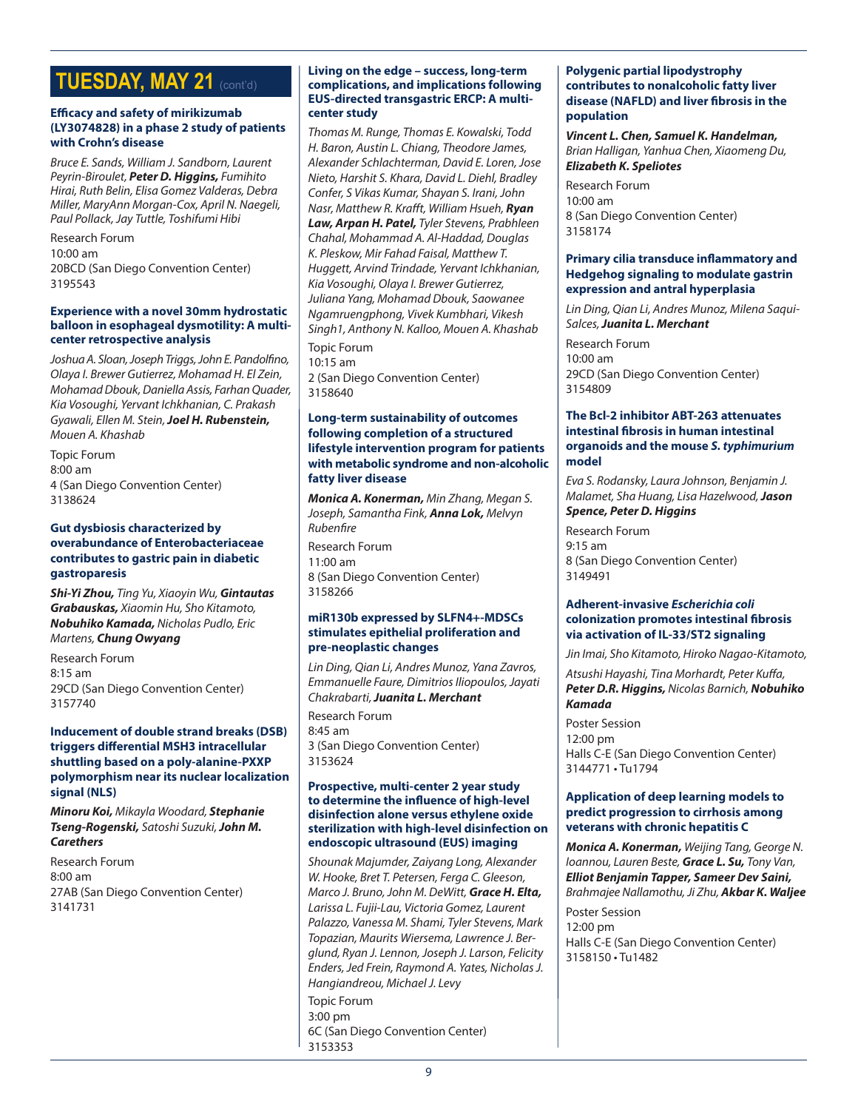# **TUESDAY, MAY 21** (cont'd)

#### **Efficacy and safety of mirikizumab (LY3074828) in a phase 2 study of patients with Crohn's disease**

*Bruce E. Sands, William J. Sandborn, Laurent Peyrin-Biroulet, Peter D. Higgins, Fumihito Hirai, Ruth Belin, Elisa Gomez Valderas, Debra Miller, MaryAnn Morgan-Cox, April N. Naegeli, Paul Pollack, Jay Tuttle, Toshifumi Hibi*

Research Forum 10:00 am 20BCD (San Diego Convention Center) 3195543

#### **Experience with a novel 30mm hydrostatic balloon in esophageal dysmotility: A multicenter retrospective analysis**

*Joshua A. Sloan, Joseph Triggs, John E. Pandolfino, Olaya I. Brewer Gutierrez, Mohamad H. El Zein, Mohamad Dbouk, Daniella Assis, Farhan Quader, Kia Vosoughi, Yervant Ichkhanian, C. Prakash Gyawali, Ellen M. Stein, Joel H. Rubenstein, Mouen A. Khashab*

Topic Forum 8:00 am 4 (San Diego Convention Center) 3138624

### **Gut dysbiosis characterized by overabundance of Enterobacteriaceae contributes to gastric pain in diabetic gastroparesis**

*Shi-Yi Zhou, Ting Yu, Xiaoyin Wu, Gintautas Grabauskas, Xiaomin Hu, Sho Kitamoto, Nobuhiko Kamada, Nicholas Pudlo, Eric Martens, Chung Owyang*

Research Forum 8:15 am 29CD (San Diego Convention Center) 3157740

#### **Inducement of double strand breaks (DSB) triggers differential MSH3 intracellular shuttling based on a poly-alanine-PXXP polymorphism near its nuclear localization signal (NLS)**

*Minoru Koi, Mikayla Woodard, Stephanie Tseng-Rogenski, Satoshi Suzuki, John M. Carethers*

Research Forum 8:00 am 27AB (San Diego Convention Center) 3141731

#### **Living on the edge – success, long-term complications, and implications following EUS-directed transgastric ERCP: A multicenter study**

*Thomas M. Runge, Thomas E. Kowalski, Todd H. Baron, Austin L. Chiang, Theodore James, Alexander Schlachterman, David E. Loren, Jose Nieto, Harshit S. Khara, David L. Diehl, Bradley Confer, S Vikas Kumar, Shayan S. Irani, John Nasr, Matthew R. Krafft, William Hsueh, Ryan Law, Arpan H. Patel, Tyler Stevens, Prabhleen Chahal, Mohammad A. Al-Haddad, Douglas K. Pleskow, Mir Fahad Faisal, Matthew T. Huggett, Arvind Trindade, Yervant Ichkhanian, Kia Vosoughi, Olaya I. Brewer Gutierrez, Juliana Yang, Mohamad Dbouk, Saowanee Ngamruengphong, Vivek Kumbhari, Vikesh Singh1, Anthony N. Kalloo, Mouen A. Khashab*

Topic Forum 10:15 am 2 (San Diego Convention Center) 3158640

#### **Long-term sustainability of outcomes following completion of a structured lifestyle intervention program for patients with metabolic syndrome and non-alcoholic fatty liver disease**

*Monica A. Konerman, Min Zhang, Megan S. Joseph, Samantha Fink, Anna Lok, Melvyn Rubenfire* Research Forum 11:00 am 8 (San Diego Convention Center) 3158266

#### **miR130b expressed by SLFN4+-MDSCs stimulates epithelial proliferation and pre-neoplastic changes**

*Lin Ding, Qian Li, Andres Munoz, Yana Zavros, Emmanuelle Faure, Dimitrios Iliopoulos, Jayati Chakrabarti, Juanita L. Merchant*

Research Forum 8:45 am 3 (San Diego Convention Center) 3153624

#### **Prospective, multi-center 2 year study to determine the influence of high-level disinfection alone versus ethylene oxide sterilization with high-level disinfection on endoscopic ultrasound (EUS) imaging**

*Shounak Majumder, Zaiyang Long, Alexander W. Hooke, Bret T. Petersen, Ferga C. Gleeson, Marco J. Bruno, John M. DeWitt, Grace H. Elta, Larissa L. Fujii-Lau, Victoria Gomez, Laurent Palazzo, Vanessa M. Shami, Tyler Stevens, Mark Topazian, Maurits Wiersema, Lawrence J. Berglund, Ryan J. Lennon, Joseph J. Larson, Felicity Enders, Jed Frein, Raymond A. Yates, Nicholas J. Hangiandreou, Michael J. Levy*

Topic Forum 3:00 pm 6C (San Diego Convention Center) 3153353

# **Polygenic partial lipodystrophy contributes to nonalcoholic fatty liver disease (NAFLD) and liver fibrosis in the population**

*Vincent L. Chen, Samuel K. Handelman, Brian Halligan, Yanhua Chen, Xiaomeng Du, Elizabeth K. Speliotes*

Research Forum 10:00 am 8 (San Diego Convention Center) 3158174

# **Primary cilia transduce inflammatory and Hedgehog signaling to modulate gastrin expression and antral hyperplasia**

*Lin Ding, Qian Li, Andres Munoz, Milena Saqui-Salces, Juanita L. Merchant*

Research Forum 10:00 am 29CD (San Diego Convention Center) 3154809

### **The Bcl-2 inhibitor ABT-263 attenuates intestinal fibrosis in human intestinal organoids and the mouse** *S. typhimurium*  **model**

*Eva S. Rodansky, Laura Johnson, Benjamin J. Malamet, Sha Huang, Lisa Hazelwood, Jason Spence, Peter D. Higgins*

Research Forum 9:15 am 8 (San Diego Convention Center) 3149491

### **Adherent-invasive** *Escherichia coli*  **colonization promotes intestinal fibrosis via activation of IL-33/ST2 signaling**

*Jin Imai, Sho Kitamoto, Hiroko Nagao-Kitamoto,* 

*Atsushi Hayashi, Tina Morhardt, Peter Kuffa, Peter D.R. Higgins, Nicolas Barnich, Nobuhiko Kamada*

Poster Session 12:00 pm Halls C-E (San Diego Convention Center) 3144771 • Tu1794

# **Application of deep learning models to predict progression to cirrhosis among veterans with chronic hepatitis C**

*Monica A. Konerman, Weijing Tang, George N. Ioannou, Lauren Beste, Grace L. Su, Tony Van, Elliot Benjamin Tapper, Sameer Dev Saini, Brahmajee Nallamothu, Ji Zhu, Akbar K. Waljee*

Poster Session 12:00 pm Halls C-E (San Diego Convention Center) 3158150 • Tu1482